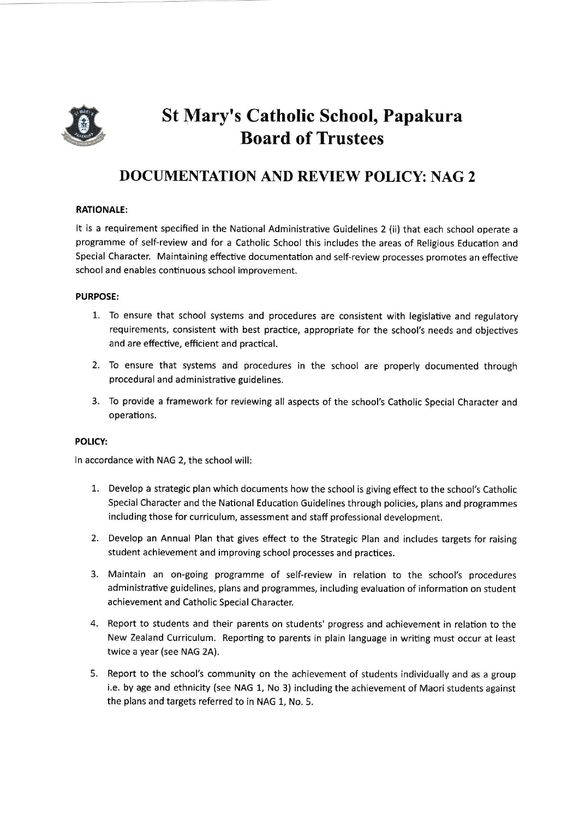

# St Mary's Catholic School, Papakura Board of Trustees

## DOCTIMENTATION AND REVIEW POLICY: NAG 2

### RATIONALE:

It is a requirement specified in the National Administrative Guidelines 2 (ii) that each school operate <sup>a</sup> programme of self-review and for a Catholic School this includes the areas of Religious Education and Special Character, Maintaining effective documentation and self-review processes promotes an effective school and enables continuous school improvement.

#### PURPOSE:

- 1. To ensure that school systems and procedures are consistent with legislative and regulatory requirements, consistent with best practice, appropriate for the school's needs and objectives and are effective, efficient and practical.
- 2. To ensure that systems and procedures in the school are properly documented through procedural and administrative guidelines.
- 3. To provide a framework for reviewing all aspects of the school's Catholic Special Character and operations.

#### POLICY:

ln accordance with NAG 2, the school will:

- 1. Develop a strategic plan which documents how the school is giving effect to the school's Catholic Special Character and the National Education Guidelines through policies, plans and programmes including those for curriculum, assessment and staff professional development.
- Develop an Annual Plan that gives effect to the Strategic Plan and includes targets for raising student achievement and improving school processes and practices.
- Maintain an on-going programme of self-review in relation to the school's procedures 3. administrative guidelines, plans and programmes, including evaluation of information on student achievement and Catholic Special Character.
- Report to students and their parents on students' progress and achievement in relation to the New Zealand Curriculum. Reporting to parents in plain language in writing must occur at least twice a year (see NAG 2A).
- 5. Report to the school's community on the achievement of students individually and as a group i.e. by age and ethnicity (see NAG 1, No 3) including the achievement of Maori students against the plans and targets referred to in NAG 1, No. 5,